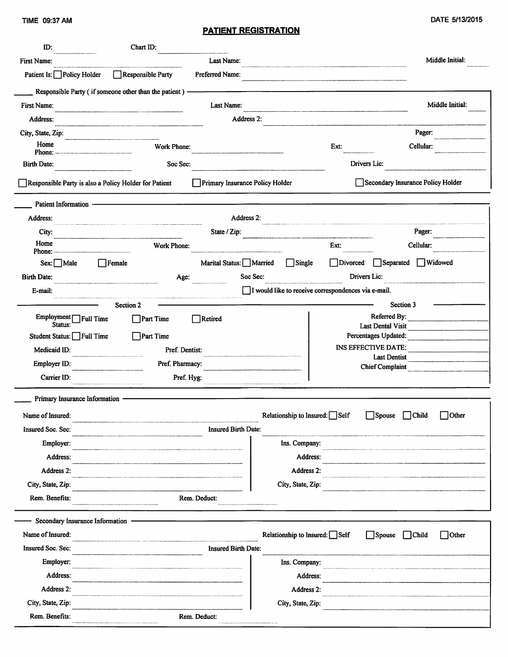| ID:                                  | Chart ID:                                                                                                           |                                                                                                                       |  |  |  |  |  |
|--------------------------------------|---------------------------------------------------------------------------------------------------------------------|-----------------------------------------------------------------------------------------------------------------------|--|--|--|--|--|
| First Name:                          | Last Name:                                                                                                          | Middle Initial:                                                                                                       |  |  |  |  |  |
| Patient Is: Policy Holder            | Responsible Party<br>Preferred Name:                                                                                | .<br>Kanna ankaanaanaa aan aan kala kila cilin kala keen dirichteb med dinnin antana marke miri aa baid aata aatam he |  |  |  |  |  |
|                                      | Responsible Party (if someone other than the patient) -                                                             |                                                                                                                       |  |  |  |  |  |
| First Name:                          | Last Name:                                                                                                          | Middle Initial:                                                                                                       |  |  |  |  |  |
| Address:                             | Address 2:                                                                                                          |                                                                                                                       |  |  |  |  |  |
| City, State, Zip:                    |                                                                                                                     | Pager:                                                                                                                |  |  |  |  |  |
| Home                                 | Work Phone:                                                                                                         | Cellular:<br>Ext:                                                                                                     |  |  |  |  |  |
| <b>Birth Date:</b>                   | Drivers Lic:<br>Soc Sec:                                                                                            |                                                                                                                       |  |  |  |  |  |
|                                      | Responsible Party is also a Policy Holder for Patient<br>Primary Insurance Policy Holder                            | Secondary Insurance Policy Holder                                                                                     |  |  |  |  |  |
| <b>Patient Information</b>           |                                                                                                                     |                                                                                                                       |  |  |  |  |  |
| Address:                             | Address 2:                                                                                                          |                                                                                                                       |  |  |  |  |  |
| City:                                | State / Zip:                                                                                                        | Pager:                                                                                                                |  |  |  |  |  |
| Home<br>Phone:                       | Work Phone:                                                                                                         | Ext:<br>Cellular:                                                                                                     |  |  |  |  |  |
| $Sex:$ Male                          | Marital Status: Married<br>$\Box$ Female                                                                            | $\Box$ Separated<br>Widowed<br>$\Box$ Single<br>Divorced                                                              |  |  |  |  |  |
| <b>Birth Date:</b>                   | Soc Sec:<br>Age:                                                                                                    | Drivers Lic:                                                                                                          |  |  |  |  |  |
| E-mail:                              |                                                                                                                     | I would like to receive correspondences via e-mail.                                                                   |  |  |  |  |  |
|                                      | Section 2                                                                                                           | Section 3                                                                                                             |  |  |  |  |  |
| Employment <sup>TFull</sup> Time     | $\Box$ Part Time<br>$\Box$ Retired                                                                                  | Referred By:                                                                                                          |  |  |  |  |  |
| Status:<br>Student Status: Full Time | $\Box$ Part Time                                                                                                    | Last Dental Visit<br>Percentages Updated:                                                                             |  |  |  |  |  |
| Medicaid ID:                         | Pref. Dentist:                                                                                                      | <b>INS EFFECTIVE DATE:</b>                                                                                            |  |  |  |  |  |
| Employer ID:                         | Pref. Pharmacy:                                                                                                     | <b>Last Dentist</b>                                                                                                   |  |  |  |  |  |
| Carrier ID:                          | Pref. Hyg:                                                                                                          | <b>Chief Complaint</b><br><u> 1980 - Andrea Barbara, martin a filozofia da t</u>                                      |  |  |  |  |  |
|                                      |                                                                                                                     |                                                                                                                       |  |  |  |  |  |
| Primary Insurance Information        |                                                                                                                     |                                                                                                                       |  |  |  |  |  |
| Name of Insured:                     |                                                                                                                     | Relationship to Insured: Self<br>$\Box$ Spouse $\Box$ Child<br>$\Box$ Other                                           |  |  |  |  |  |
| Insured Soc. Sec:                    | Insured Birth Date:                                                                                                 |                                                                                                                       |  |  |  |  |  |
| Employer:                            |                                                                                                                     | Ins. Company:                                                                                                         |  |  |  |  |  |
| Address:                             |                                                                                                                     | Address:                                                                                                              |  |  |  |  |  |
| Address 2:                           |                                                                                                                     | Address 2:                                                                                                            |  |  |  |  |  |
| City, State, Zip:                    |                                                                                                                     | City, State, Zip:                                                                                                     |  |  |  |  |  |
| Rem. Benefits:                       | Rem. Deduct:                                                                                                        |                                                                                                                       |  |  |  |  |  |
| Secondary Insurance Information      |                                                                                                                     |                                                                                                                       |  |  |  |  |  |
| Name of Insured:                     | .<br>That can be able to a state of the association of private properties and associated profession resources to th | Relationship to Insured: Self<br>Other<br>$\Box$ Spouse<br>$\Box$ Child                                               |  |  |  |  |  |
| Insured Soc. Sec:                    | Insured Birth Date:                                                                                                 |                                                                                                                       |  |  |  |  |  |
| Employer:                            |                                                                                                                     | Ins. Company:                                                                                                         |  |  |  |  |  |
| Address:                             |                                                                                                                     | Address:                                                                                                              |  |  |  |  |  |
| Address 2:                           |                                                                                                                     | Address 2:                                                                                                            |  |  |  |  |  |
| City, State, Zip:                    |                                                                                                                     | City, State, Zip:                                                                                                     |  |  |  |  |  |
| Rem. Benefits:                       | Rem. Deduct:                                                                                                        |                                                                                                                       |  |  |  |  |  |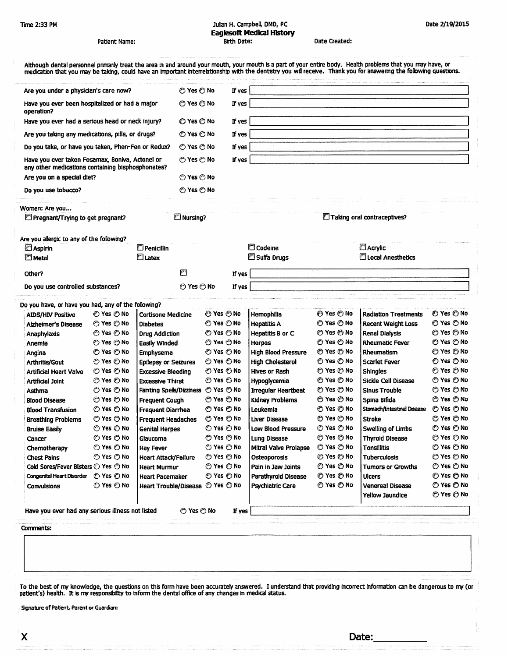#### Julian H. Campbell, DMD, PC **Eaglesoft Medical History** Birth Date:

Date 2/19/2015

| Patient Name:                                                                                        |                          |                                    | Birth Date: |                   |          |                                  | Date Created:      |                                                                                                                                                                                                                                                                                                                                   |                          |  |
|------------------------------------------------------------------------------------------------------|--------------------------|------------------------------------|-------------|-------------------|----------|----------------------------------|--------------------|-----------------------------------------------------------------------------------------------------------------------------------------------------------------------------------------------------------------------------------------------------------------------------------------------------------------------------------|--------------------------|--|
|                                                                                                      |                          |                                    |             |                   |          |                                  |                    | Although dental personnel primarly treat the area in and around your mouth, your mouth is a part of your entire body. Health problems that you may have, or<br>medication that you may be taking, could have an important interrelationship with the dentistry you will receive. Thank you for answering the following questions. |                          |  |
|                                                                                                      |                          |                                    | O Yes O No  |                   | If yes   |                                  |                    |                                                                                                                                                                                                                                                                                                                                   |                          |  |
| Are you under a physician's care now?<br>Have you ever been hospitalized or had a major              |                          |                                    | © Yes ⊙ No  |                   | If yes   |                                  |                    |                                                                                                                                                                                                                                                                                                                                   |                          |  |
| operation?<br>Have you ever had a serious head or neck injury?                                       |                          |                                    | © Yes © No  |                   | If yes   |                                  |                    |                                                                                                                                                                                                                                                                                                                                   |                          |  |
| Are you taking any medications, pills, or drugs?                                                     |                          |                                    | © Yes © No  |                   | If yes   |                                  |                    |                                                                                                                                                                                                                                                                                                                                   |                          |  |
|                                                                                                      |                          |                                    | © Yes © No  |                   | If yes   |                                  |                    |                                                                                                                                                                                                                                                                                                                                   |                          |  |
| Do you take, or have you taken, Phen-Fen or Redux?                                                   |                          |                                    |             |                   | If yes   |                                  |                    |                                                                                                                                                                                                                                                                                                                                   |                          |  |
| Have you ever taken Fosamax, Boniva, Actonel or<br>any other medications containing bisphosphonates? |                          |                                    | © Yes ⊙ No  |                   |          |                                  |                    |                                                                                                                                                                                                                                                                                                                                   |                          |  |
| Are you on a special diet?                                                                           |                          |                                    | © Yes © No  |                   |          |                                  |                    |                                                                                                                                                                                                                                                                                                                                   |                          |  |
| Do you use tobacco?                                                                                  |                          |                                    | © Yes © No  |                   |          |                                  |                    |                                                                                                                                                                                                                                                                                                                                   |                          |  |
| Women: Are you<br>E Pregnant/Trying to get pregnant?                                                 |                          |                                    |             | $\Box$ Nursing?   |          |                                  |                    | Taking oral contraceptives?                                                                                                                                                                                                                                                                                                       |                          |  |
| Are you allergic to any of the following?<br>DAspirin<br>$\Box$ Metal                                |                          | $\Box$ Penicillin<br><b>Elatex</b> |             |                   |          | $\square$ Codeine<br>Sulfa Drugs |                    | Acrylic<br>C Local Anesthetics                                                                                                                                                                                                                                                                                                    |                          |  |
| Other?                                                                                               |                          |                                    | r           |                   | If yes   |                                  |                    |                                                                                                                                                                                                                                                                                                                                   |                          |  |
| Do you use controlled substances?                                                                    |                          |                                    | © Yes © No  |                   | If yes   |                                  |                    |                                                                                                                                                                                                                                                                                                                                   |                          |  |
|                                                                                                      |                          |                                    |             |                   |          |                                  |                    |                                                                                                                                                                                                                                                                                                                                   |                          |  |
| Do you have, or have you had, any of the following?                                                  |                          |                                    |             |                   |          |                                  |                    |                                                                                                                                                                                                                                                                                                                                   |                          |  |
| <b>AIDS/HIV Positive</b>                                                                             | © Yes ල No               | <b>Cortisone Medicine</b>          |             | <b>ි Yes ව No</b> |          | Hemophilia                       | ල Yes ල No         | <b>Radiation Treatments</b>                                                                                                                                                                                                                                                                                                       | <b>ව Yes ව No</b>        |  |
| <b>Alzheimer's Disease</b>                                                                           | O Yes O No               | <b>Diabetes</b>                    |             | © Yes © No        |          | <b>Hepatitis A</b>               | ල Yes ල No         | <b>Recent Weight Loss</b>                                                                                                                                                                                                                                                                                                         | ල Yes ල No               |  |
| Anaphylaxis                                                                                          | © Yes © No               | <b>Drug Addiction</b>              |             | © Yes ල No        |          | Hepatitis B or C                 | ල Yes ල No         | <b>Renal Dialysis</b>                                                                                                                                                                                                                                                                                                             | © Yes ල No               |  |
| Anemia                                                                                               | © Yes ල No               | Easily Winded                      |             | © Yes ල No        |          | Herpes                           | <b>ි Yes ව No</b>  | <b>Rheumatic Fever</b>                                                                                                                                                                                                                                                                                                            | ල Yes ල No               |  |
| Angina                                                                                               | © Yes ල No               | Emphysema                          |             | © Yes ල No        |          | <b>High Blood Pressure</b>       | © Yes ල No         | <b>Rheumatism</b>                                                                                                                                                                                                                                                                                                                 | © Yes ල No               |  |
| Arthritis/Gout                                                                                       | <b>ි Yes ⊘ No</b>        | <b>Epilepsy or Seizures</b>        |             | © Yes ල No        |          | <b>High Cholesterol</b>          | <b>ි Yes හි No</b> | <b>Scarlet Fever</b>                                                                                                                                                                                                                                                                                                              | © Yes ල No               |  |
| <b>Artificial Heart Valve</b>                                                                        | © Yes © No               | Excessive Bleeding                 |             | ල Yes ල No        |          | <b>Hives or Rash</b>             | O Yes © No         | <b>Shingles</b>                                                                                                                                                                                                                                                                                                                   | © Yes ල No               |  |
| Artificial Joint                                                                                     | O Yes O No               | <b>Excessive Thirst</b>            |             | © Yes ල No        |          | Hypoglycemia                     | ⊘ Yes ල No         | Sickle Cell Disease                                                                                                                                                                                                                                                                                                               | <b>ි Yes ල No</b>        |  |
| Asthma                                                                                               | ⑦ Yes ල No               | Fainting Spells/Dizziness          |             | <b>⊙ Yes ⊙ No</b> |          | <b>Irrequiar Heartbeat</b>       | ල Yes ල No         | <b>Sinus Trouble</b>                                                                                                                                                                                                                                                                                                              | © Yes ල No               |  |
| <b>Blood Disease</b>                                                                                 | O Yes O No               | <b>Frequent Cough</b>              |             | ල Yes ල No        |          | Kidney Problems                  | O Yes O No         | Spina Bifida                                                                                                                                                                                                                                                                                                                      | <b>ව Yes ව No</b>        |  |
| <b>Blood Transfusion</b>                                                                             | © Yes © No               | Frequent Diarrhea                  |             | O Yes O No        |          | Leukemia                         | © Yes © No         | Stomach/Intestinal Disease © Yes © No                                                                                                                                                                                                                                                                                             |                          |  |
| <b>Breathing Problems</b>                                                                            | © Yes ල No               | <b>Frequent Headaches</b>          |             | © Yes ල No        |          | Liver Disease                    | © Yes ල No         | <b>Stroke</b>                                                                                                                                                                                                                                                                                                                     | © Yes ල No               |  |
| <b>Bruise Easily</b>                                                                                 | <b><i>⊙</i> Yes ⊙ No</b> | <b>Genital Herpes</b>              |             | © Yes ල No        |          | Low Blood Pressure               | © Yes © No         | <b>Swelling of Limbs</b>                                                                                                                                                                                                                                                                                                          | <b>ි Yes ව No</b>        |  |
| Cancer                                                                                               | ⊙ Yes © No               | Glaucoma                           |             | ි Yes ⑦ No        |          | Lung Disease                     | <b>⊙ Yes ⊙ No</b>  | <b>Thyroid Disease</b>                                                                                                                                                                                                                                                                                                            | <b>© Yes ⊙ No</b>        |  |
| Chemotherapy                                                                                         | ⊘ Yes (O No              | Hay Fever                          |             | © Yes ල No        |          | Mitral Valve Prolapse            | ල Yes ල No         | Tonsilitis                                                                                                                                                                                                                                                                                                                        | ල Yes ල No               |  |
| <b>Chest Pains</b>                                                                                   | © Yes ල No               | Heart Attack/Failure               |             | © Yes © No        |          | <b>Osteoporosis</b>              | © Yes ල No         | <b>Tuberculosis</b>                                                                                                                                                                                                                                                                                                               | © Yes ල No               |  |
| Cold Sores/Fever Blisters $\odot$ Yes $\odot$ No                                                     |                          | <b>Heart Murmur</b>                |             | © Yes ල No        |          | Pain in Jaw Joints               | <b>ව Yes ව No</b>  | Tumors or Growths                                                                                                                                                                                                                                                                                                                 | <b>ි Yes ⊘ No</b>        |  |
| Congenital Heart Disorder                                                                            | <b>© Yes ⊙ No</b>        | Heart Pacemaker                    |             | <b>ව Yes ව No</b> |          | Parathyroid Disease              | © Yes ල No         | Ulcers                                                                                                                                                                                                                                                                                                                            | © Yes ල No               |  |
| <b>Convulsions</b>                                                                                   | © Yes © No               | Heart Trouble/Disease © Yes © No   |             |                   |          | Psychiatric Care                 | © Yes ල No         | <b>Venereal Disease</b><br>Yellow Jaundice                                                                                                                                                                                                                                                                                        | ල Yes ල No<br>⊙ Yes ⊙ No |  |
|                                                                                                      |                          |                                    |             |                   |          |                                  |                    |                                                                                                                                                                                                                                                                                                                                   |                          |  |
| Have you ever had any serious illness not listed                                                     |                          |                                    | © Yes © No  |                   | If $yes$ |                                  |                    |                                                                                                                                                                                                                                                                                                                                   |                          |  |
| Comments:                                                                                            |                          |                                    |             |                   |          |                                  |                    |                                                                                                                                                                                                                                                                                                                                   |                          |  |
|                                                                                                      |                          |                                    |             |                   |          |                                  |                    |                                                                                                                                                                                                                                                                                                                                   |                          |  |
|                                                                                                      |                          |                                    |             |                   |          |                                  |                    |                                                                                                                                                                                                                                                                                                                                   |                          |  |
|                                                                                                      |                          |                                    |             |                   |          |                                  |                    |                                                                                                                                                                                                                                                                                                                                   |                          |  |

Date:

Signature of Patient, Parent or Guardian: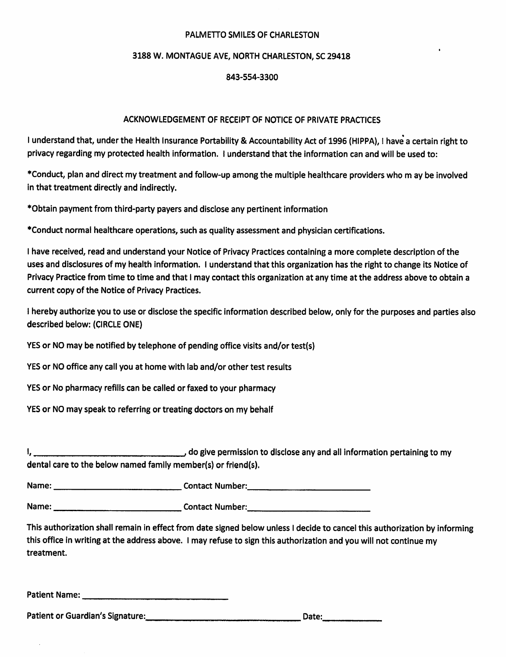#### PALMETTO SMILES OF CHARLESTON

#### 3188 W. MONTAGUE AVE. NORTH CHARLESTON. SC 29418

#### 843-554-3300

#### ACKNOWLEDGEMENT OF RECEIPT OF NOTICE OF PRIVATE PRACTICES

I understand that, under the Health Insurance Portability & Accountability Act of 1996 (HIPPA), I have a certain right to privacy regarding my protected health information. I understand that the information can and will be used to:

\*Conduct, plan and direct my treatment and follow-up among the multiple healthcare providers who m ay be involved in that treatment directly and indirectly.

\*Obtain payment from third-party payers and disclose any pertinent information

\*Conduct normal healthcare operations, such as quality assessment and physician certifications.

I have received, read and understand your Notice of Privacy Practices containing a more complete description of the uses and disclosures of my health information. I understand that this organization has the right to change its Notice of Privacy Practice from time to time and that I may contact this organization at any time at the address above to obtain a current copy of the Notice of Privacy Practices.

I hereby authorize you to use or disclose the specific information described below, only for the purposes and parties also described below: (CIRCLE ONE)

YES or NO may be notified by telephone of pending office visits and/or test(s)

YES or NO office any call you at home with lab and/or other test results

YES or No pharmacy refills can be called or faxed to your pharmacy

YES or NO may speak to referring or treating doctors on my behalf

do give permission to disclose any and all information pertaining to my <u>|, , , , , , , ,</u> dental care to the below named family member(s) or friend(s).

Name: Name and Allie Contact Number:

This authorization shall remain in effect from date signed below unless I decide to cancel this authorization by informing this office in writing at the address above. I may refuse to sign this authorization and you will not continue my treatment.

Patient Name: Name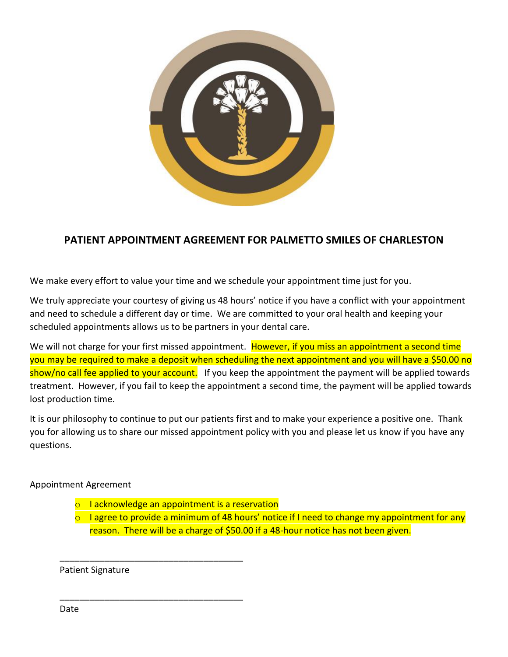

## **PATIENT APPOINTMENT AGREEMENT FOR PALMETTO SMILES OF CHARLESTON**

We make every effort to value your time and we schedule your appointment time just for you.

We truly appreciate your courtesy of giving us 48 hours' notice if you have a conflict with your appointment and need to schedule a different day or time. We are committed to your oral health and keeping your scheduled appointments allows us to be partners in your dental care.

We will not charge for your first missed appointment. However, if you miss an appointment a second time you may be required to make a deposit when scheduling the next appointment and you will have a \$50.00 no show/no call fee applied to your account. If you keep the appointment the payment will be applied towards treatment. However, if you fail to keep the appointment a second time, the payment will be applied towards lost production time.

It is our philosophy to continue to put our patients first and to make your experience a positive one. Thank you for allowing us to share our missed appointment policy with you and please let us know if you have any questions.

### Appointment Agreement

o I acknowledge an appointment is a reservation

\_\_\_\_\_\_\_\_\_\_\_\_\_\_\_\_\_\_\_\_\_\_\_\_\_\_\_\_\_\_\_\_\_\_\_\_\_

\_\_\_\_\_\_\_\_\_\_\_\_\_\_\_\_\_\_\_\_\_\_\_\_\_\_\_\_\_\_\_\_\_\_\_\_\_

 $\circ$  I agree to provide a minimum of 48 hours' notice if I need to change my appointment for any reason. There will be a charge of \$50.00 if a 48-hour notice has not been given.

Patient Signature